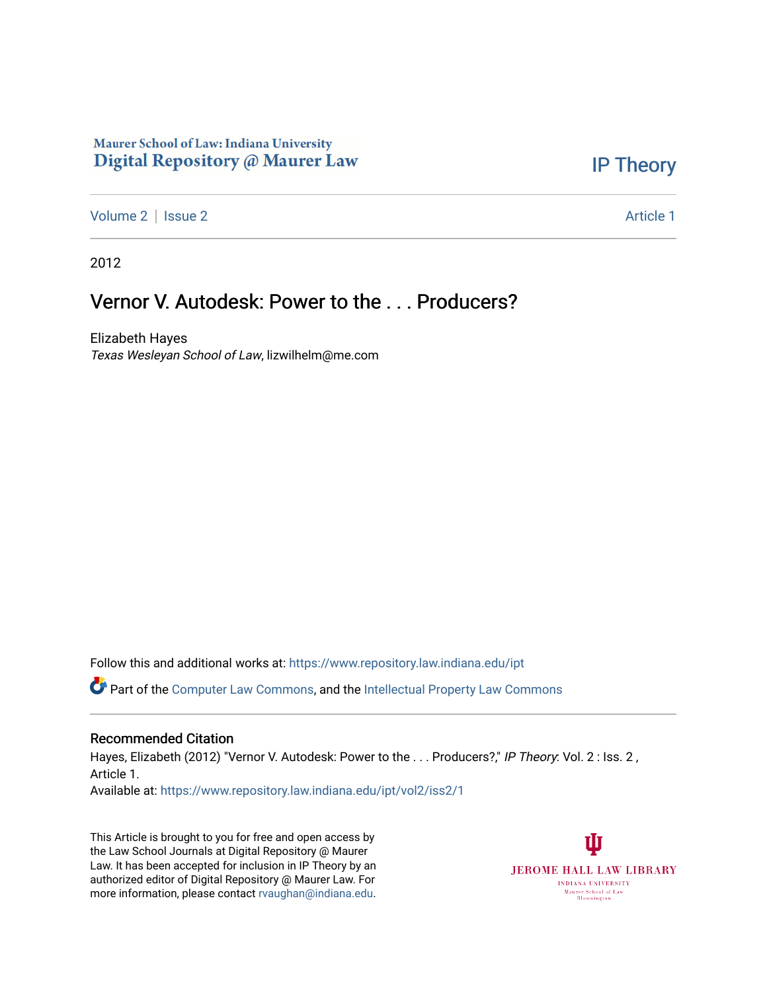## Maurer School of Law: Indiana University Digital Repository @ Maurer Law

## [IP Theory](https://www.repository.law.indiana.edu/ipt)

[Volume 2](https://www.repository.law.indiana.edu/ipt/vol2) | [Issue 2](https://www.repository.law.indiana.edu/ipt/vol2/iss2) Article 1

2012

# Vernor V. Autodesk: Power to the . . . Producers?

Elizabeth Hayes Texas Wesleyan School of Law, lizwilhelm@me.com

Follow this and additional works at: [https://www.repository.law.indiana.edu/ipt](https://www.repository.law.indiana.edu/ipt?utm_source=www.repository.law.indiana.edu%2Fipt%2Fvol2%2Fiss2%2F1&utm_medium=PDF&utm_campaign=PDFCoverPages) 

**C** Part of the [Computer Law Commons,](http://network.bepress.com/hgg/discipline/837?utm_source=www.repository.law.indiana.edu%2Fipt%2Fvol2%2Fiss2%2F1&utm_medium=PDF&utm_campaign=PDFCoverPages) and the [Intellectual Property Law Commons](http://network.bepress.com/hgg/discipline/896?utm_source=www.repository.law.indiana.edu%2Fipt%2Fvol2%2Fiss2%2F1&utm_medium=PDF&utm_campaign=PDFCoverPages)

#### Recommended Citation

Hayes, Elizabeth (2012) "Vernor V. Autodesk: Power to the . . . Producers?," IP Theory: Vol. 2 : Iss. 2, Article 1.

Available at: [https://www.repository.law.indiana.edu/ipt/vol2/iss2/1](https://www.repository.law.indiana.edu/ipt/vol2/iss2/1?utm_source=www.repository.law.indiana.edu%2Fipt%2Fvol2%2Fiss2%2F1&utm_medium=PDF&utm_campaign=PDFCoverPages) 

This Article is brought to you for free and open access by the Law School Journals at Digital Repository @ Maurer Law. It has been accepted for inclusion in IP Theory by an authorized editor of Digital Repository @ Maurer Law. For more information, please contact [rvaughan@indiana.edu](mailto:rvaughan@indiana.edu).

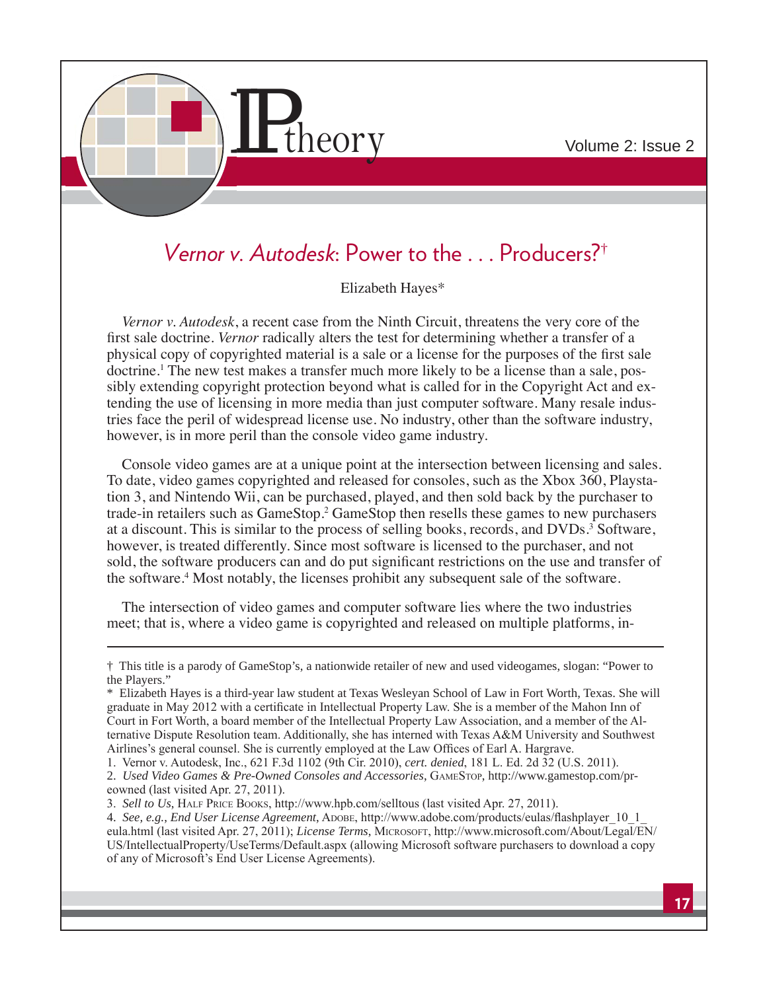

# Vernor v. Autodesk: Power to the ... Producers?<sup>†</sup>

Elizabeth Hayes\*

Vernor v. Autodesk, a recent case from the Ninth Circuit, threatens the very core of the first sale doctrine. *Vernor* radically alters the test for determining whether a transfer of a physical copy of copyrighted material is a sale or a license for the purposes of the first sale doctrine.<sup>1</sup> The new test makes a transfer much more likely to be a license than a sale, possibly extending copyright protection beyond what is called for in the Copyright Act and extending the use of licensing in more media than just computer software. Many resale industries face the peril of widespread license use. No industry, other than the software industry, however, is in more peril than the console video game industry.

Console video games are at a unique point at the intersection between licensing and sales. To date, video games copyrighted and released for consoles, such as the Xbox 360, Playstation 3, and Nintendo Wii, can be purchased, played, and then sold back by the purchaser to trade-in retailers such as GameStop.<sup>2</sup> GameStop then resells these games to new purchasers at a discount. This is similar to the process of selling books, records, and DVDs.<sup>3</sup> Software, however, is treated differently. Since most software is licensed to the purchaser, and not sold, the software producers can and do put significant restrictions on the use and transfer of the software.<sup>4</sup> Most notably, the licenses prohibit any subsequent sale of the software.

The intersection of video games and computer software lies where the two industries meet; that is, where a video game is copyrighted and released on multiple platforms, in-

<sup>†</sup> This title is a parody of GameStop's, a nationwide retailer of new and used videogames, slogan: "Power to the Players."

<sup>\*</sup> Elizabeth Hayes is a third-year law student at Texas Wesleyan School of Law in Fort Worth, Texas. She will graduate in May 2012 with a certificate in Intellectual Property Law. She is a member of the Mahon Inn of Court in Fort Worth, a board member of the Intellectual Property Law Association, and a member of the Alternative Dispute Resolution team. Additionally, she has interned with Texas A&M University and Southwest Airlines's general counsel. She is currently employed at the Law Offices of Earl A. Hargrave.

<sup>1.</sup> Vernor v. Autodesk, Inc., 621 F.3d 1102 (9th Cir. 2010), cert. denied, 181 L. Ed. 2d 32 (U.S. 2011).

<sup>2.</sup> Used Video Games & Pre-Owned Consoles and Accessories, GAMESTOP, http://www.gamestop.com/preowned (last visited Apr. 27, 2011).

<sup>3.</sup> Sell to Us, HALF PRICE BOOKS, http://www.hpb.com/selltous (last visited Apr. 27, 2011).

<sup>4.</sup> See, e.g., End User License Agreement, ADOBE, http://www.adobe.com/products/eulas/flashplayer 10 1 eula.html (last visited Apr. 27, 2011); License Terms, MICROSOFT, http://www.microsoft.com/About/Legal/EN/ US/IntellectualProperty/UseTerms/Default.aspx (allowing Microsoft software purchasers to download a copy of any of Microsoft's End User License Agreements).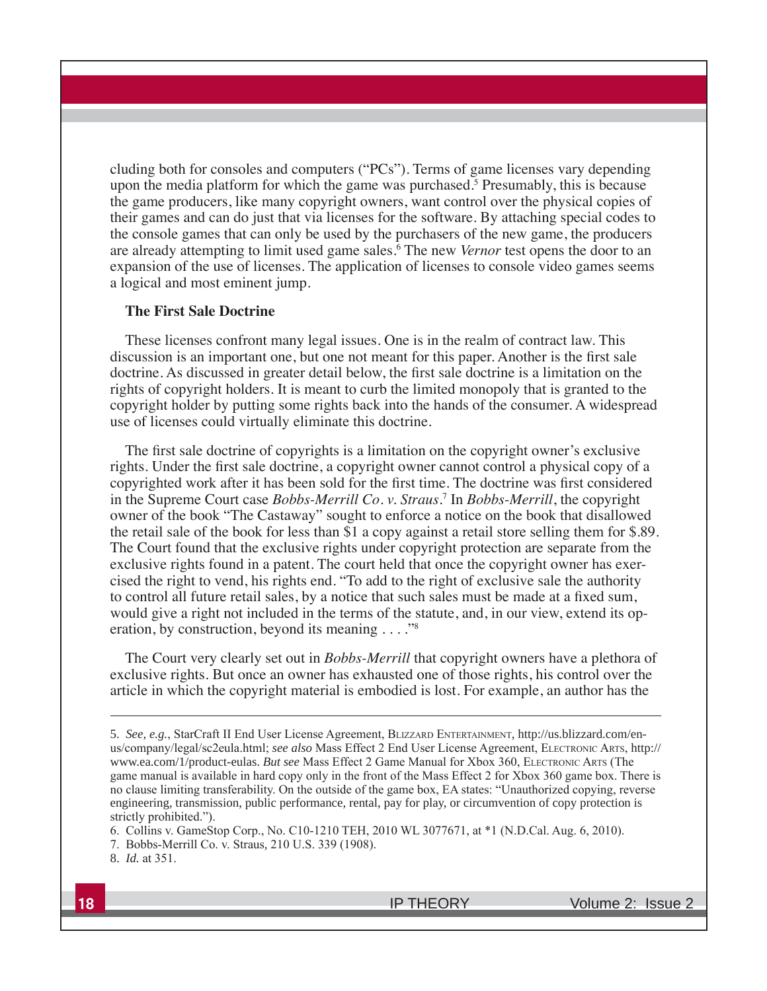cluding both for consoles and computers ("PCs"). Terms of game licenses vary depending upon the media platform for which the game was purchased.<sup>5</sup> Presumably, this is because the game producers, like many copyright owners, want control over the physical copies of their games and can do just that via licenses for the software. By attaching special codes to the console games that can only be used by the purchasers of the new game, the producers are already attempting to limit used game sales.<sup>6</sup> The new Vernor test opens the door to an expansion of the use of licenses. The application of licenses to console video games seems a logical and most eminent jump.

#### **The First Sale Doctrine**

These licenses confront many legal issues. One is in the realm of contract law. This discussion is an important one, but one not meant for this paper. Another is the first sale doctrine. As discussed in greater detail below, the first sale doctrine is a limitation on the rights of copyright holders. It is meant to curb the limited monopoly that is granted to the copyright holder by putting some rights back into the hands of the consumer. A widespread use of licenses could virtually eliminate this doctrine.

The first sale doctrine of copyrights is a limitation on the copyright owner's exclusive rights. Under the first sale doctrine, a copyright owner cannot control a physical copy of a copyrighted work after it has been sold for the first time. The doctrine was first considered in the Supreme Court case *Bobbs-Merrill Co.v. Straus*.<sup>7</sup> In *Bobbs-Merrill*, the copyright owner of the book "The Castaway" sought to enforce a notice on the book that disallowed the retail sale of the book for less than \$1 a copy against a retail store selling them for \$.89. The Court found that the exclusive rights under copyright protection are separate from the exclusive rights found in a patent. The court held that once the copyright owner has exercised the right to vend, his rights end. "To add to the right of exclusive sale the authority to control all future retail sales, by a notice that such sales must be made at a fixed sum, would give a right not included in the terms of the statute, and, in our view, extend its operation, by construction, beyond its meaning  $\dots$ ."<sup>8</sup>

The Court very clearly set out in *Bobbs-Merrill* that copyright owners have a plethora of exclusive rights. But once an owner has exhausted one of those rights, his control over the article in which the copyright material is embodied is lost. For example, an author has the

<sup>5.</sup> See, e.g., StarCraft II End User License Agreement, BLIZZARD ENTERTAINMENT, http://us.blizzard.com/enus/company/legal/sc2eula.html; see also Mass Effect 2 End User License Agreement, ELECTRONIC ARTS, http:// www.ea.com/1/product-eulas. But see Mass Effect 2 Game Manual for Xbox 360, ELECTRONIC ARTS (The game manual is available in hard copy only in the front of the Mass Effect 2 for Xbox 360 game box. There is no clause limiting transferability. On the outside of the game box, EA states: "Unauthorized copying, reverse engineering, transmission, public performance, rental, pay for play, or circumvention of copy protection is strictly prohibited.").

<sup>6.</sup> Collins v. GameStop Corp., No. C10-1210 TEH, 2010 WL 3077671, at \*1 (N.D.Cal. Aug. 6, 2010).

<sup>7.</sup> Bobbs-Merrill Co. v. Straus, 210 U.S. 339 (1908).

<sup>8.</sup> *Id.* at 351.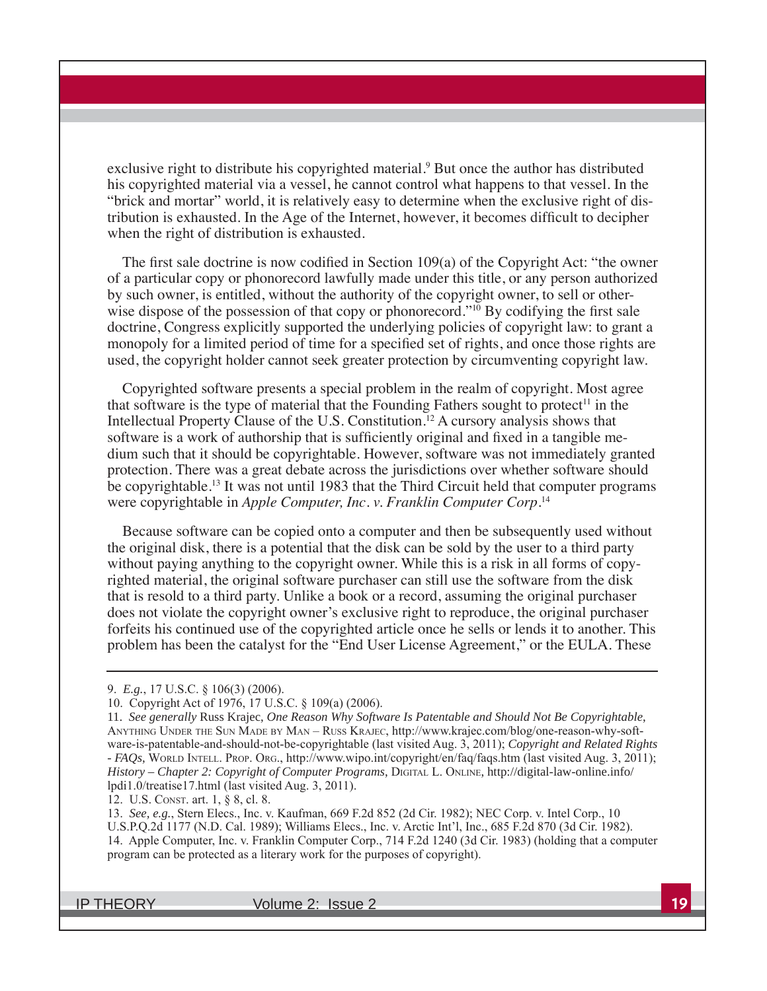exclusive right to distribute his copyrighted material.<sup>9</sup> But once the author has distributed his copyrighted material via a vessel, he cannot control what happens to that vessel. In the "brick and mortar" world, it is relatively easy to determine when the exclusive right of distribution is exhausted. In the Age of the Internet, however, it becomes difficult to decipher when the right of distribution is exhausted.

The first sale doctrine is now codified in Section 109(a) of the Copyright Act: "the owner of a particular copy or phonorecord lawfully made under this title, or any person authorized by such owner, is entitled, without the authority of the copyright owner, to sell or otherwise dispose of the possession of that copy or phonorecord."<sup>10</sup> By codifying the first sale doctrine, Congress explicitly supported the underlying policies of copyright law: to grant a monopoly for a limited period of time for a specified set of rights, and once those rights are used, the copyright holder cannot seek greater protection by circumventing copyright law.

Copyrighted software presents a special problem in the realm of copyright. Most agree that software is the type of material that the Founding Fathers sought to protect<sup>11</sup> in the Intellectual Property Clause of the U.S. Constitution.<sup>12</sup> A cursory analysis shows that software is a work of authorship that is sufficiently original and fixed in a tangible medium such that it should be copyrightable. However, software was not immediately granted protection. There was a great debate across the jurisdictions over whether software should be copyrightable.<sup>13</sup> It was not until 1983 that the Third Circuit held that computer programs were copyrightable in Apple Computer, Inc. v. Franklin Computer Corp.<sup>14</sup>

Because software can be copied onto a computer and then be subsequently used without the original disk, there is a potential that the disk can be sold by the user to a third party without paying anything to the copyright owner. While this is a risk in all forms of copyrighted material, the original software purchaser can still use the software from the disk that is resold to a third party. Unlike a book or a record, assuming the original purchaser does not violate the copyright owner's exclusive right to reproduce, the original purchaser forfeits his continued use of the copyrighted article once he sells or lends it to another. This problem has been the catalyst for the "End User License Agreement," or the EULA. These

12. U.S. CONST. art. 1, § 8, cl. 8.

13. See, e.g., Stern Elecs., Inc. v. Kaufman, 669 F.2d 852 (2d Cir. 1982); NEC Corp. v. Intel Corp., 10 U.S.P.Q.2d 1177 (N.D. Cal. 1989); Williams Elecs., Inc. v. Arctic Int'l, Inc., 685 F.2d 870 (3d Cir. 1982). 14. Apple Computer, Inc. v. Franklin Computer Corp., 714 F.2d 1240 (3d Cir. 1983) (holding that a computer program can be protected as a literary work for the purposes of copyright).

IP THEORY Volume 2: Issue 2 **19**

<sup>9.</sup> *E.g.*, 17 U.S.C. § 106(3) (2006).

<sup>10.</sup> Copyright Act of 1976, 17 U.S.C. § 109(a) (2006).

<sup>11.</sup> *See generally* Russ Krajec, *One Reason Why Software Is Patentable and Should Not Be Copyrightable*, ANYTHING UNDER THE SUN MADE BY MAN – RUSS KRAJEC, http://www.krajec.com/blog/one-reason-why-software-is-patentable-and-should-not-be-copyrightable (last visited Aug. 3, 2011); *Copyright and Related Rights - FAQs*, WORLD INTELL. PROP. ORG., http://www.wipo.int/copyright/en/faq/faqs.htm (last visited Aug. 3, 2011); *History – Chapter 2: Copyright of Computer Programs*, DIGITAL L. ONLINE, http://digital-law-online.info/  $Ipdi1.0$ /treatise17.html (last visited Aug. 3, 2011).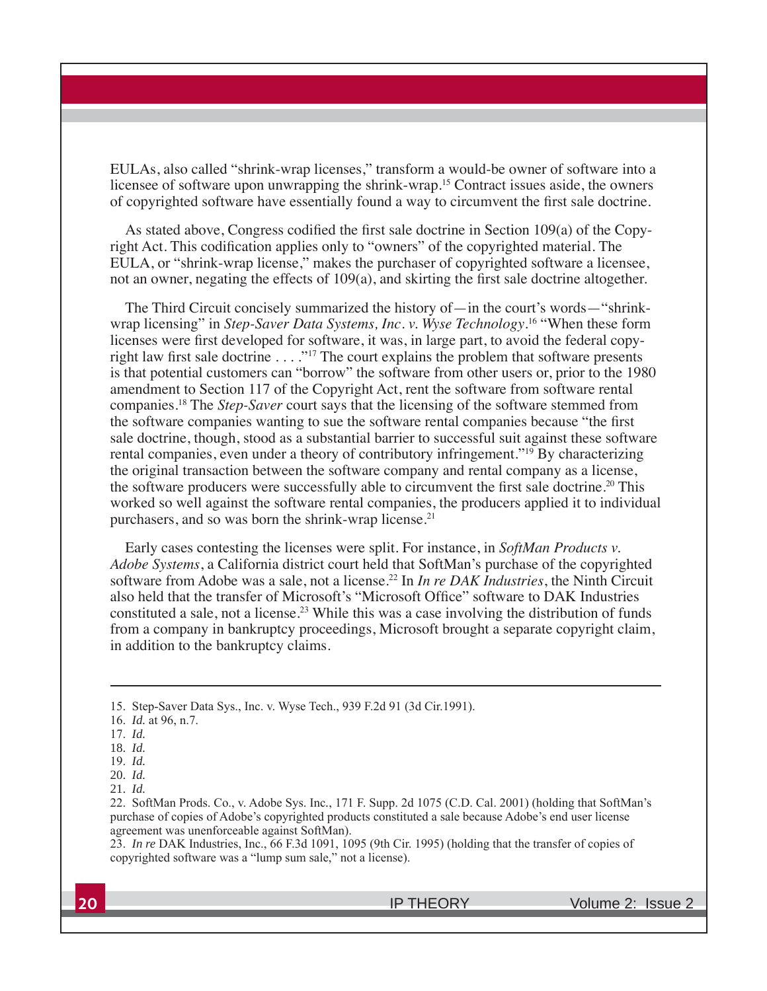EULAs, also called "shrink-wrap licenses," transform a would-be owner of software into a licensee of software upon unwrapping the shrink-wrap.<sup>15</sup> Contract issues aside, the owners of copyrighted software have essentially found a way to circumvent the first sale doctrine.

As stated above, Congress codified the first sale doctrine in Section 109(a) of the Copyright Act. This codification applies only to "owners" of the copyrighted material. The EULA, or "shrink-wrap license," makes the purchaser of copyrighted software a licensee, not an owner, negating the effects of 109(a), and skirting the first sale doctrine altogether.

The Third Circuit concisely summarized the history of — in the court's words—"shrinkwrap licensing" in Step-Saver Data Systems, Inc. v. Wyse Technology.<sup>16</sup> "When these form licenses were first developed for software, it was, in large part, to avoid the federal copyright law first sale doctrine  $\ldots$ ."<sup>17</sup> The court explains the problem that software presents is that potential customers can "borrow" the software from other users or, prior to the 1980 amendment to Section 117 of the Copyright Act, rent the software from software rental companies.<sup>18</sup> The *Step-Saver* court says that the licensing of the software stemmed from the software companies wanting to sue the software rental companies because "the first sale doctrine, though, stood as a substantial barrier to successful suit against these software rental companies, even under a theory of contributory infringement."<sup>19</sup> By characterizing the original transaction between the software company and rental company as a license, the software producers were successfully able to circumvent the first sale doctrine.<sup>20</sup> This worked so well against the software rental companies, the producers applied it to individual purchasers, and so was born the shrink-wrap license.<sup>21</sup>

Early cases contesting the licenses were split. For instance, in SoftMan Products v. *Adobe Systems*, a California district court held that SoftMan's purchase of the copyrighted software from Adobe was a sale, not a license.<sup>22</sup> In *In re DAK Industries*, the Ninth Circuit also held that the transfer of Microsoft's "Microsoft Office" software to DAK Industries constituted a sale, not a license.<sup>23</sup> While this was a case involving the distribution of funds from a company in bankruptcy proceedings, Microsoft brought a separate copyright claim, in addition to the bankruptcy claims.

23. *In re* DAK Industries, Inc., 66 F.3d 1091, 1095 (9th Cir. 1995) (holding that the transfer of copies of copyrighted software was a "lump sum sale," not a license).

<sup>15.</sup> Step-Saver Data Sys., Inc. v. Wyse Tech., 939 F.2d 91 (3d Cir.1991).

<sup>16.</sup> *Id.* at 96, n.7.

*Id.*

<sup>18.</sup> *Id.*

*Id.*

<sup>20.</sup> *Id.*

<sup>21.</sup> *Id.*

<sup>22.</sup> SoftMan Prods. Co., v. Adobe Sys. Inc., 171 F. Supp. 2d 1075 (C.D. Cal. 2001) (holding that SoftMan's purchase of copies of Adobe's copyrighted products constituted a sale because Adobe's end user license agreement was unenforceable against SoftMan).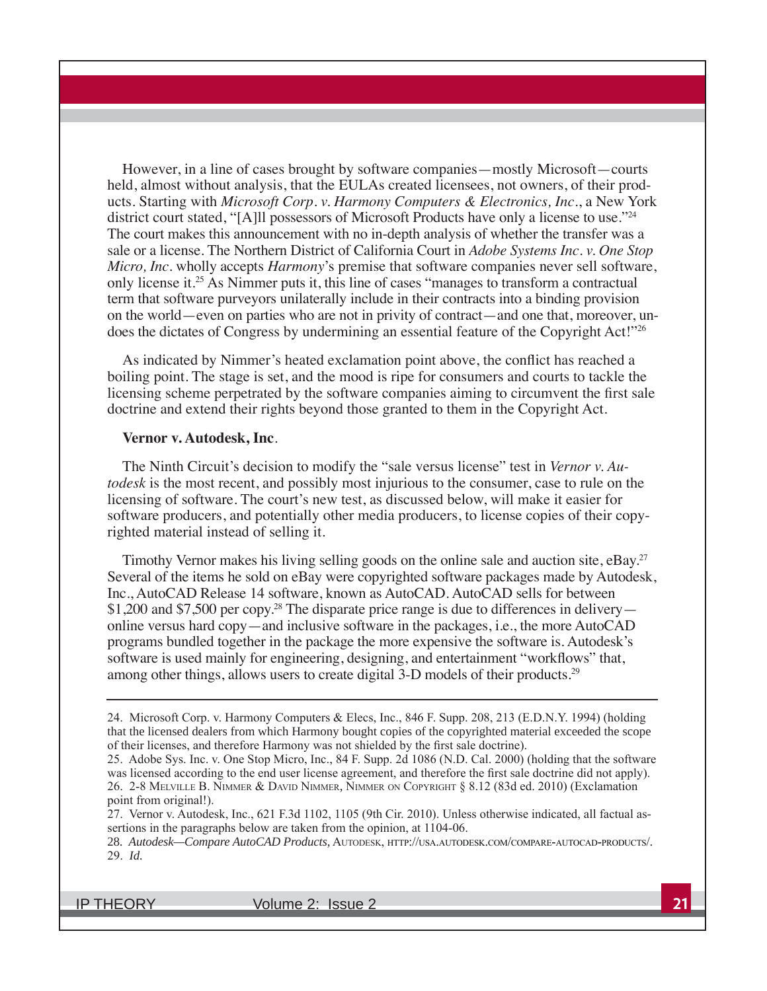However, in a line of cases brought by software companies—mostly Microsoft—courts held, almost without analysis, that the EULAs created licensees, not owners, of their products. Starting with *Microsoft Corp. v. Harmony Computers & Electronics, Inc., a New York* district court stated, "[A]ll possessors of Microsoft Products have only a license to use."<sup>24</sup> The court makes this announcement with no in-depth analysis of whether the transfer was a sale or a license. The Northern District of California Court in Adobe Systems Inc. v. One Stop *Micro, Inc.* wholly accepts *Harmony*'s premise that software companies never sell software, only license it.<sup>25</sup> As Nimmer puts it, this line of cases "manages to transform a contractual term that software purveyors unilaterally include in their contracts into a binding provision on the world—even on parties who are not in privity of contract—and one that, moreover, undoes the dictates of Congress by undermining an essential feature of the Copyright Act!"<sup>26</sup>

As indicated by Nimmer's heated exclamation point above, the conflict has reached a boiling point. The stage is set, and the mood is ripe for consumers and courts to tackle the licensing scheme perpetrated by the software companies aiming to circumvent the first sale doctrine and extend their rights beyond those granted to them in the Copyright Act.

#### **Vernor v. Autodesk, Inc***.*

The Ninth Circuit's decision to modify the "sale versus license" test in *Vernor v. Autodesk* is the most recent, and possibly most injurious to the consumer, case to rule on the licensing of software. The court's new test, as discussed below, will make it easier for software producers, and potentially other media producers, to license copies of their copyrighted material instead of selling it.

Timothy Vernor makes his living selling goods on the online sale and auction site,  $eBay<sup>27</sup>$ Several of the items he sold on eBay were copyrighted software packages made by Autodesk, Inc., AutoCAD Release 14 software, known as AutoCAD. AutoCAD sells for between \$1,200 and \$7,500 per copy.<sup>28</sup> The disparate price range is due to differences in delivery online versus hard copy—and inclusive software in the packages, i.e., the more AutoCAD programs bundled together in the package the more expensive the software is. Autodesk's software is used mainly for engineering, designing, and entertainment "workflows" that, among other things, allows users to create digital 3-D models of their products.<sup>29</sup>

IP THEORY Volume 2: Issue 2 **21**

<sup>24.</sup> Microsoft Corp. v. Harmony Computers & Elecs, Inc., 846 F. Supp. 208, 213 (E.D.N.Y. 1994) (holding that the licensed dealers from which Harmony bought copies of the copyrighted material exceeded the scope of their licenses, and therefore Harmony was not shielded by the first sale doctrine).

<sup>25.</sup> Adobe Sys. Inc. v. One Stop Micro, Inc., 84 F. Supp. 2d 1086 (N.D. Cal. 2000) (holding that the software was licensed according to the end user license agreement, and therefore the first sale doctrine did not apply). 26. 2-8 MELVILLE B. NIMMER & DAVID NIMMER, NIMMER ON COPYRIGHT § 8.12 (83d ed. 2010) (Exclamation point from original!).

<sup>27.</sup> Vernor v. Autodesk, Inc., 621 F.3d 1102, 1105 (9th Cir. 2010). Unless otherwise indicated, all factual assertions in the paragraphs below are taken from the opinion, at 1104-06.

<sup>28.</sup> *Autodesk—Compare AutoCAD Products*, AUTODESK, HTTP://USA.AUTODESK.COM/COMPARE-AUTOCAD-PRODUCTS/. *Id.*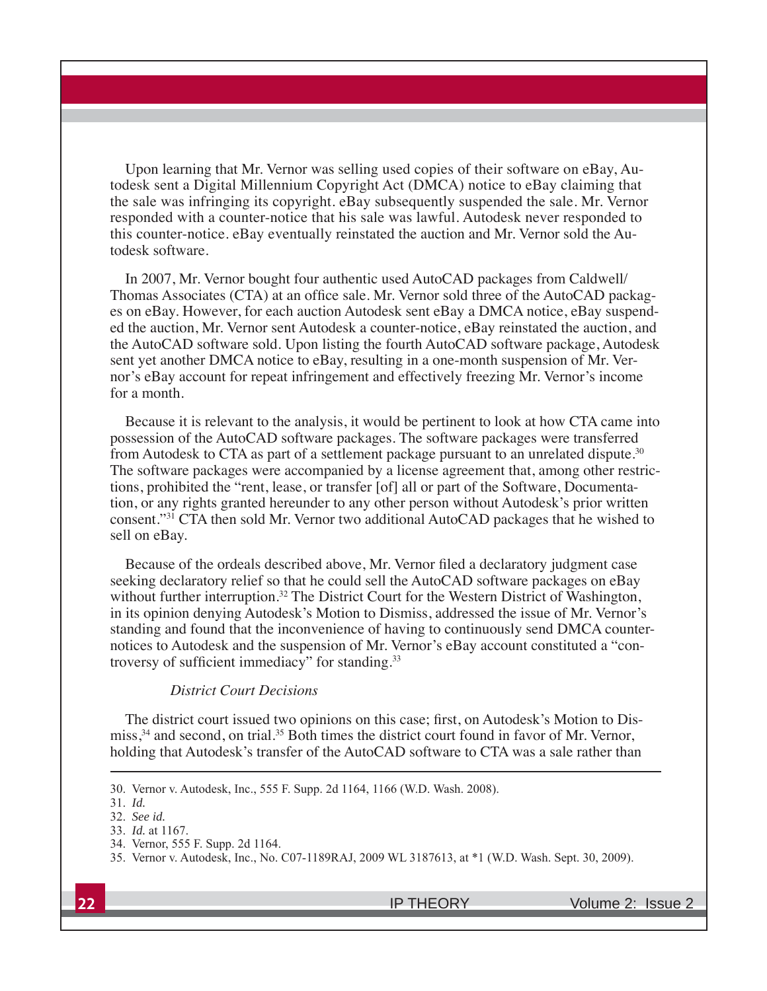Upon learning that Mr. Vernor was selling used copies of their software on eBay, Autodesk sent a Digital Millennium Copyright Act (DMCA) notice to eBay claiming that the sale was infringing its copyright. eBay subsequently suspended the sale. Mr. Vernor responded with a counter-notice that his sale was lawful. Autodesk never responded to this counter-notice. eBay eventually reinstated the auction and Mr. Vernor sold the Autodesk software.

In 2007, Mr. Vernor bought four authentic used AutoCAD packages from Caldwell/ Thomas Associates (CTA) at an office sale. Mr. Vernor sold three of the AutoCAD packages on eBay. However, for each auction Autodesk sent eBay a DMCA notice, eBay suspended the auction, Mr. Vernor sent Autodesk a counter-notice, eBay reinstated the auction, and the AutoCAD software sold. Upon listing the fourth AutoCAD software package, Autodesk sent yet another DMCA notice to eBay, resulting in a one-month suspension of Mr. Vernor's eBay account for repeat infringement and effectively freezing Mr. Vernor's income for a month.

Because it is relevant to the analysis, it would be pertinent to look at how CTA came into possession of the AutoCAD software packages. The software packages were transferred from Autodesk to CTA as part of a settlement package pursuant to an unrelated dispute.<sup>30</sup> The software packages were accompanied by a license agreement that, among other restrictions, prohibited the "rent, lease, or transfer [of] all or part of the Software, Documentation, or any rights granted hereunder to any other person without Autodesk's prior written consent."<sup>31</sup> CTA then sold Mr. Vernor two additional AutoCAD packages that he wished to sell on eBay.

Because of the ordeals described above, Mr. Vernor filed a declaratory judgment case seeking declaratory relief so that he could sell the AutoCAD software packages on eBay without further interruption.<sup>32</sup> The District Court for the Western District of Washington, in its opinion denying Autodesk's Motion to Dismiss, addressed the issue of Mr. Vernor's standing and found that the inconvenience of having to continuously send DMCA counternotices to Autodesk and the suspension of Mr. Vernor's eBay account constituted a "controversy of sufficient immediacy" for standing. $33$ 

### *District Court Decisions*

The district court issued two opinions on this case; first, on Autodesk's Motion to Dismiss, $34$  and second, on trial.<sup>35</sup> Both times the district court found in favor of Mr. Vernor, holding that Autodesk's transfer of the AutoCAD software to CTA was a sale rather than

<sup>30.</sup> Vernor v. Autodesk, Inc., 555 F. Supp. 2d 1164, 1166 (W.D. Wash. 2008).

*Id.*

*See id.*

<sup>33.</sup> *Id.* at 1167.

<sup>34.</sup> Vernor, 555 F. Supp. 2d 1164.

<sup>35.</sup> Vernor v. Autodesk, Inc., No. C07-1189RAJ, 2009 WL 3187613, at \*1 (W.D. Wash. Sept. 30, 2009).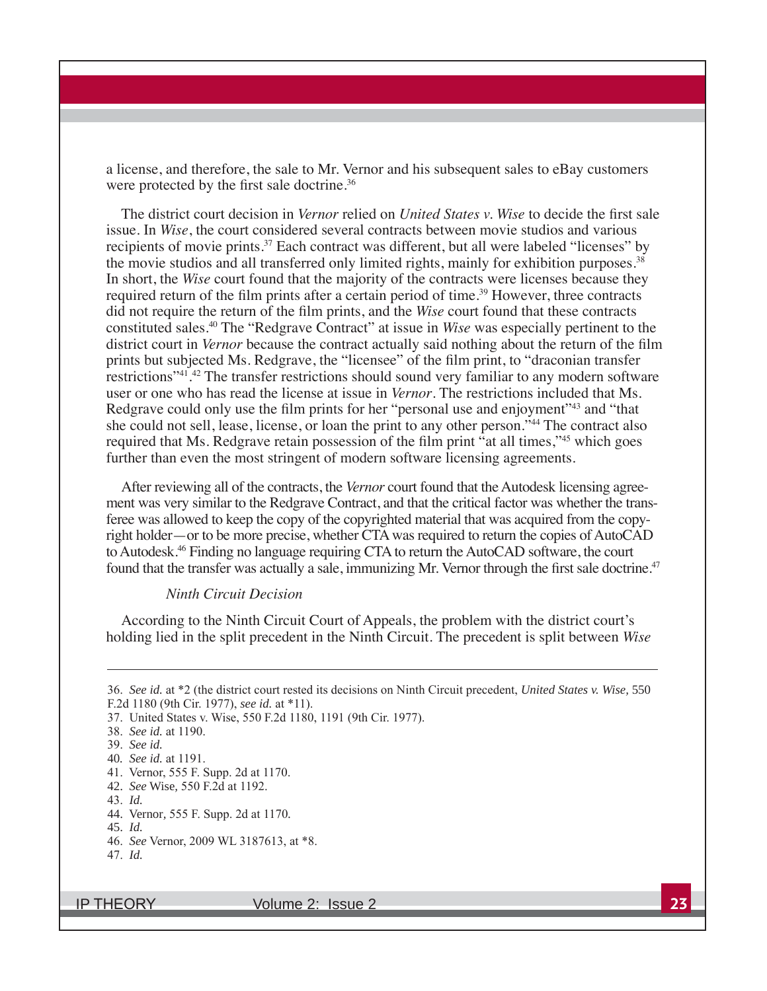a license, and therefore, the sale to Mr. Vernor and his subsequent sales to eBay customers were protected by the first sale doctrine.<sup>36</sup>

The district court decision in *Vernor* relied on *United States v. Wise* to decide the first sale issue. In *Wise*, the court considered several contracts between movie studios and various recipients of movie prints.<sup>37</sup> Each contract was different, but all were labeled "licenses" by the movie studios and all transferred only limited rights, mainly for exhibition purposes.<sup>38</sup> In short, the *Wise* court found that the majority of the contracts were licenses because they required return of the film prints after a certain period of time.<sup>39</sup> However, three contracts did not require the return of the film prints, and the *Wise* court found that these contracts constituted sales.<sup>40</sup> The "Redgrave Contract" at issue in *Wise* was especially pertinent to the district court in Vernor because the contract actually said nothing about the return of the film prints but subjected Ms. Redgrave, the "licensee" of the film print, to "draconian transfer restrictions"<sup>41</sup>.<sup>42</sup> The transfer restrictions should sound very familiar to any modern software user or one who has read the license at issue in *Vernor*. The restrictions included that Ms. Redgrave could only use the film prints for her "personal use and enjoyment"<sup>43</sup> and "that she could not sell, lease, license, or loan the print to any other person."<sup>44</sup> The contract also required that Ms. Redgrave retain possession of the film print "at all times,"<sup>45</sup> which goes further than even the most stringent of modern software licensing agreements.

After reviewing all of the contracts, the *Vernor* court found that the Autodesk licensing agreement was very similar to the Redgrave Contract, and that the critical factor was whether the transferee was allowed to keep the copy of the copyrighted material that was acquired from the copyright holder—or to be more precise, whether CTA was required to return the copies of AutoCAD to Autodesk.<sup>46</sup> Finding no language requiring CTA to return the AutoCAD software, the court found that the transfer was actually a sale, immunizing Mr. Vernor through the first sale doctrine.<sup>47</sup>

#### *Ninth Circuit Decision*

According to the Ninth Circuit Court of Appeals, the problem with the district court's holding lied in the split precedent in the Ninth Circuit. The precedent is split between Wise

- *Id.*
- 44. Vernor, 555 F. Supp. 2d at 1170.

*Id.*

IP THEORY Volume 2: Issue 2 **23**

<sup>36.</sup> See id. at \*2 (the district court rested its decisions on Ninth Circuit precedent, *United States v. Wise*, 550 F.2d 1180 (9th Cir. 1977), see id. at \*11).

<sup>37.</sup> United States v. Wise, 550 F.2d 1180, 1191 (9th Cir. 1977).

<sup>38.</sup> See id. at 1190.

*See id.*

<sup>40</sup>*. See id.* at 1191.

<sup>41.</sup> Vernor, 555 F. Supp. 2d at 1170.

<sup>42.</sup> *See* Wise, 550 F.2d at 1192.

<sup>45.</sup> *Id.*

<sup>46.</sup> See Vernor, 2009 WL 3187613, at  $*8$ .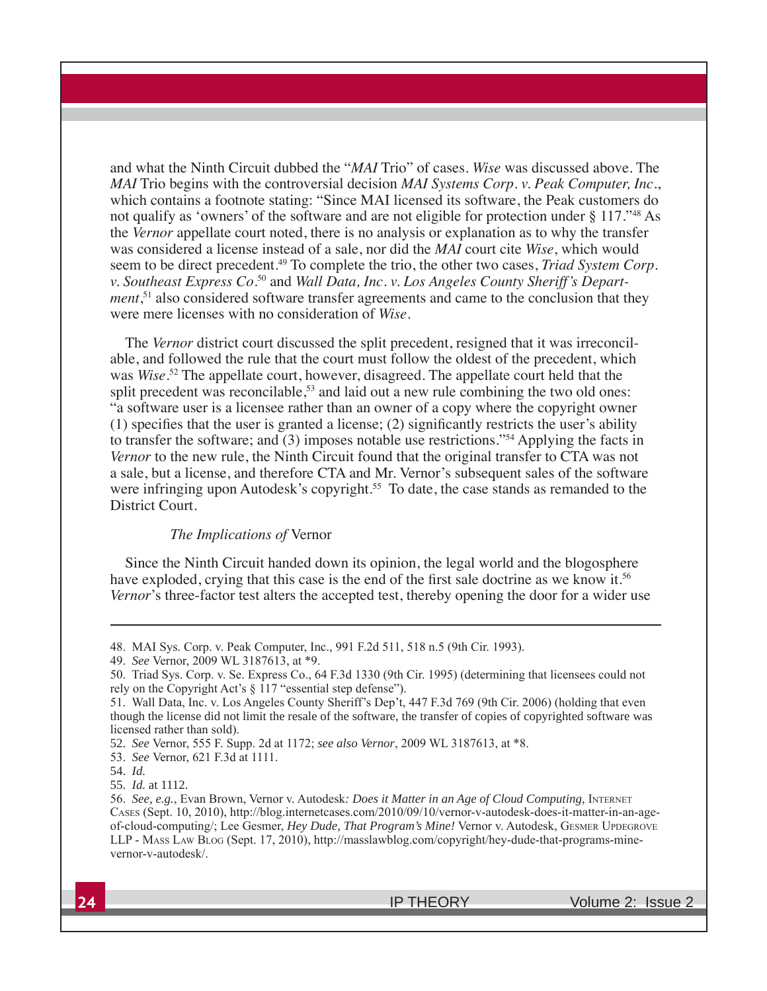and what the Ninth Circuit dubbed the "*MAI* Trio" of cases. Wise was discussed above. The MAI Trio begins with the controversial decision MAI Systems Corp. v. Peak Computer, Inc., which contains a footnote stating: "Since MAI licensed its software, the Peak customers do not qualify as 'owners' of the software and are not eligible for protection under § 117."<sup>48</sup> As the Vernor appellate court noted, there is no analysis or explanation as to why the transfer was considered a license instead of a sale, nor did the MAI court cite Wise, which would seem to be direct precedent.<sup>49</sup> To complete the trio, the other two cases, *Triad System Corp*. v. Southeast Express Co.<sup>50</sup> and Wall Data, Inc. v. Los Angeles County Sheriff's Depart*ment*,<sup>51</sup> also considered software transfer agreements and came to the conclusion that they were mere licenses with no consideration of Wise.

The Vernor district court discussed the split precedent, resigned that it was irreconcilable, and followed the rule that the court must follow the oldest of the precedent, which was Wise.<sup>52</sup> The appellate court, however, disagreed. The appellate court held that the split precedent was reconcilable,  $53$  and laid out a new rule combining the two old ones: "a software user is a licensee rather than an owner of a copy where the copyright owner  $(1)$  specifies that the user is granted a license;  $(2)$  significantly restricts the user's ability to transfer the software; and  $(3)$  imposes notable use restrictions."<sup>54</sup> Applying the facts in Vernor to the new rule, the Ninth Circuit found that the original transfer to CTA was not a sale, but a license, and therefore CTA and Mr. Vernor's subsequent sales of the software were infringing upon Autodesk's copyright.<sup>55</sup> To date, the case stands as remanded to the District Court.

#### The Implications of Vernor

Since the Ninth Circuit handed down its opinion, the legal world and the blogosphere have exploded, crying that this case is the end of the first sale doctrine as we know it.<sup>56</sup> Vernor's three-factor test alters the accepted test, thereby opening the door for a wider use

<sup>48.</sup> MAI Sys. Corp. v. Peak Computer, Inc., 991 F.2d 511, 518 n.5 (9th Cir. 1993).

<sup>49.</sup> See Vernor, 2009 WL 3187613, at \*9.

<sup>50.</sup> Triad Sys. Corp. v. Se. Express Co., 64 F.3d 1330 (9th Cir. 1995) (determining that licensees could not rely on the Copyright Act's § 117 "essential step defense").

<sup>51.</sup> Wall Data, Inc. v. Los Angeles County Sheriff's Dep't, 447 F.3d 769 (9th Cir. 2006) (holding that even though the license did not limit the resale of the software, the transfer of copies of copyrighted software was licensed rather than sold).

<sup>52.</sup> See Vernor, 555 F. Supp. 2d at 1172; see also Vernor, 2009 WL 3187613, at \*8.

<sup>53.</sup> See Vernor, 621 F.3d at 1111.

<sup>54.</sup> Id.

<sup>55.</sup> Id. at 1112.

<sup>56.</sup> See, e.g., Evan Brown, Vernor v. Autodesk: Does it Matter in an Age of Cloud Computing, INTERNET CASES (Sept. 10, 2010), http://blog.internetcases.com/2010/09/10/vernor-v-autodesk-does-it-matter-in-an-ageof-cloud-computing/; Lee Gesmer, Hey Dude, That Program's Mine! Vernor v. Autodesk, GESMER UPDEGROVE LLP - MASS LAW BLOG (Sept. 17, 2010), http://masslawblog.com/copyright/hey-dude-that-programs-minevernor-v-autodesk/.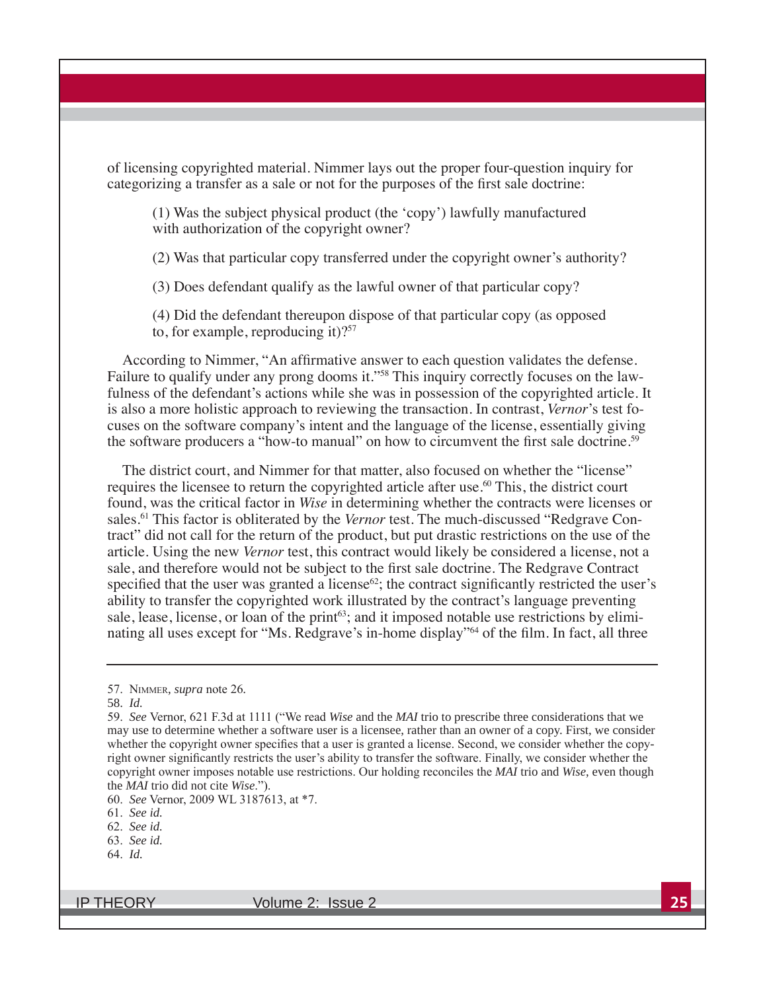of licensing copyrighted material. Nimmer lays out the proper four-question inquiry for categorizing a transfer as a sale or not for the purposes of the first sale doctrine:

(1) Was the subject physical product (the 'copy') lawfully manufactured with authorization of the copyright owner?

(2) Was that particular copy transferred under the copyright owner's authority?

(3) Does defendant qualify as the lawful owner of that particular copy?

(4) Did the defendant thereupon dispose of that particular copy (as opposed to, for example, reproducing it)? $57$ 

According to Nimmer, "An affirmative answer to each question validates the defense. Failure to qualify under any prong dooms it."<sup>58</sup> This inquiry correctly focuses on the lawfulness of the defendant's actions while she was in possession of the copyrighted article. It is also a more holistic approach to reviewing the transaction. In contrast, Vernor's test focuses on the software company's intent and the language of the license, essentially giving the software producers a "how-to manual" on how to circumvent the first sale doctrine.<sup>59</sup>

The district court, and Nimmer for that matter, also focused on whether the "license" requires the licensee to return the copyrighted article after use.<sup>60</sup> This, the district court found, was the critical factor in Wise in determining whether the contracts were licenses or sales.<sup>61</sup> This factor is obliterated by the Vernor test. The much-discussed "Redgrave Contract" did not call for the return of the product, but put drastic restrictions on the use of the article. Using the new *Vernor* test, this contract would likely be considered a license, not a sale, and therefore would not be subject to the first sale doctrine. The Redgrave Contract specified that the user was granted a license<sup>62</sup>; the contract significantly restricted the user's ability to transfer the copyrighted work illustrated by the contract's language preventing sale, lease, license, or loan of the print<sup>63</sup>; and it imposed notable use restrictions by eliminating all uses except for "Ms. Redgrave's in-home display"<sup>64</sup> of the film. In fact, all three

58. Id.

- 63. See id.
- 64. Id.

**IP THEORY** 

<sup>57.</sup> NIMMER, supra note 26.

<sup>59.</sup> See Vernor, 621 F.3d at 1111 ("We read Wise and the MAI trio to prescribe three considerations that we may use to determine whether a software user is a licensee, rather than an owner of a copy. First, we consider whether the copyright owner specifies that a user is granted a license. Second, we consider whether the copyright owner significantly restricts the user's ability to transfer the software. Finally, we consider whether the copyright owner imposes notable use restrictions. Our holding reconciles the MAI trio and Wise, even though the *MAI* trio did not cite *Wise*.").

<sup>60.</sup> See Vernor, 2009 WL 3187613, at \*7.

<sup>61.</sup> See id.

<sup>62.</sup> See id.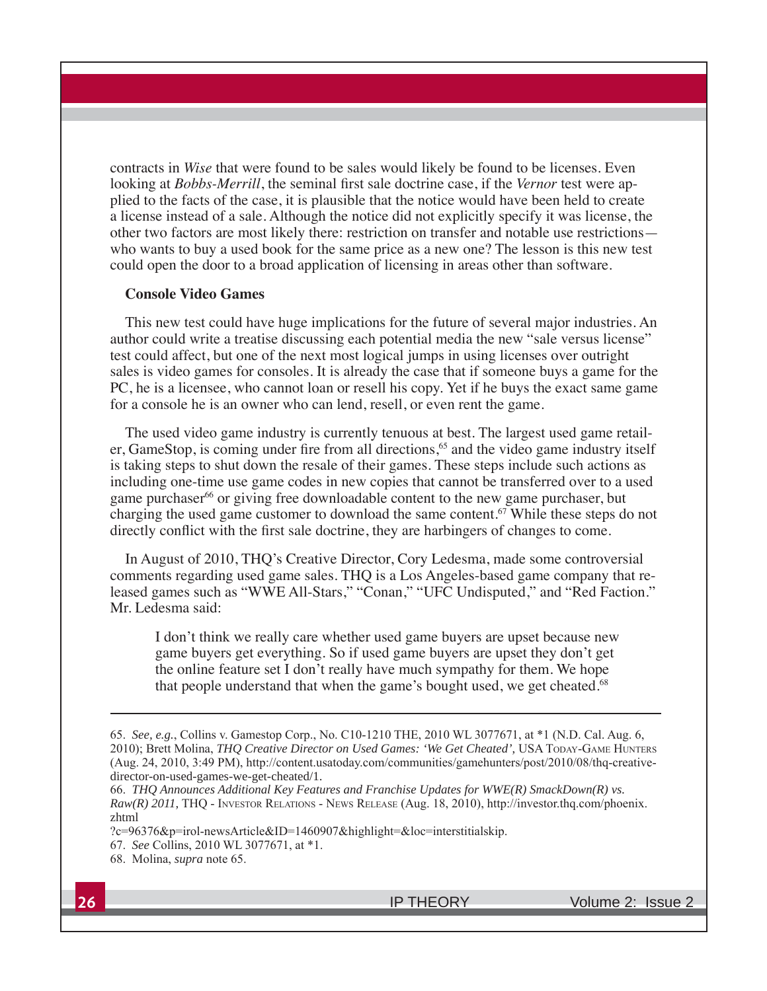contracts in *Wise* that were found to be sales would likely be found to be licenses. Even looking at *Bobbs-Merrill*, the seminal first sale doctrine case, if the *Vernor* test were applied to the facts of the case, it is plausible that the notice would have been held to create a license instead of a sale. Although the notice did not explicitly specify it was license, the other two factors are most likely there: restriction on transfer and notable use restrictions who wants to buy a used book for the same price as a new one? The lesson is this new test could open the door to a broad application of licensing in areas other than software.

#### **Console Video Games**

This new test could have huge implications for the future of several major industries. An author could write a treatise discussing each potential media the new "sale versus license" test could affect, but one of the next most logical jumps in using licenses over outright sales is video games for consoles. It is already the case that if someone buys a game for the PC, he is a licensee, who cannot loan or resell his copy. Yet if he buys the exact same game for a console he is an owner who can lend, resell, or even rent the game.

The used video game industry is currently tenuous at best. The largest used game retailer, GameStop, is coming under fire from all directions,<sup>65</sup> and the video game industry itself is taking steps to shut down the resale of their games. These steps include such actions as including one-time use game codes in new copies that cannot be transferred over to a used game purchaser<sup>66</sup> or giving free downloadable content to the new game purchaser, but charging the used game customer to download the same content.<sup>67</sup> While these steps do not directly conflict with the first sale doctrine, they are harbingers of changes to come.

In August of 2010, THQ's Creative Director, Cory Ledesma, made some controversial comments regarding used game sales. THQ is a Los Angeles-based game company that released games such as "WWE All-Stars," "Conan," "UFC Undisputed," and "Red Faction." Mr. Ledesma said:

I don't think we really care whether used game buyers are upset because new game buyers get everything. So if used game buyers are upset they don't get the online feature set I don't really have much sympathy for them. We hope that people understand that when the game's bought used, we get cheated.<sup>68</sup>

<sup>65.</sup> See, e.g., Collins v. Gamestop Corp., No. C10-1210 THE, 2010 WL 3077671, at \*1 (N.D. Cal. Aug. 6, 2010); Brett Molina, THQ Creative Director on Used Games: 'We Get Cheated', USA TODAY-GAME HUNTERS (Aug. 24, 2010, 3:49 PM), http://content.usatoday.com/communities/gamehunters/post/2010/08/thq-creativedirector-on-used-games-we-get-cheated/1.

<sup>66.</sup> THQ Announces Additional Key Features and Franchise Updates for WWE(R) SmackDown(R) vs.  $Raw(R)$  2011, THQ - INVESTOR RELATIONS - NEWS RELEASE (Aug. 18, 2010), http://investor.thq.com/phoenix. zhtml

<sup>?</sup>c=96376&p=irol-newsArticle&ID=1460907&highlight=&loc=interstitialskip.

<sup>67.</sup> See Collins, 2010 WL 3077671, at \*1.

<sup>68.</sup> Molina, *supra* note 65.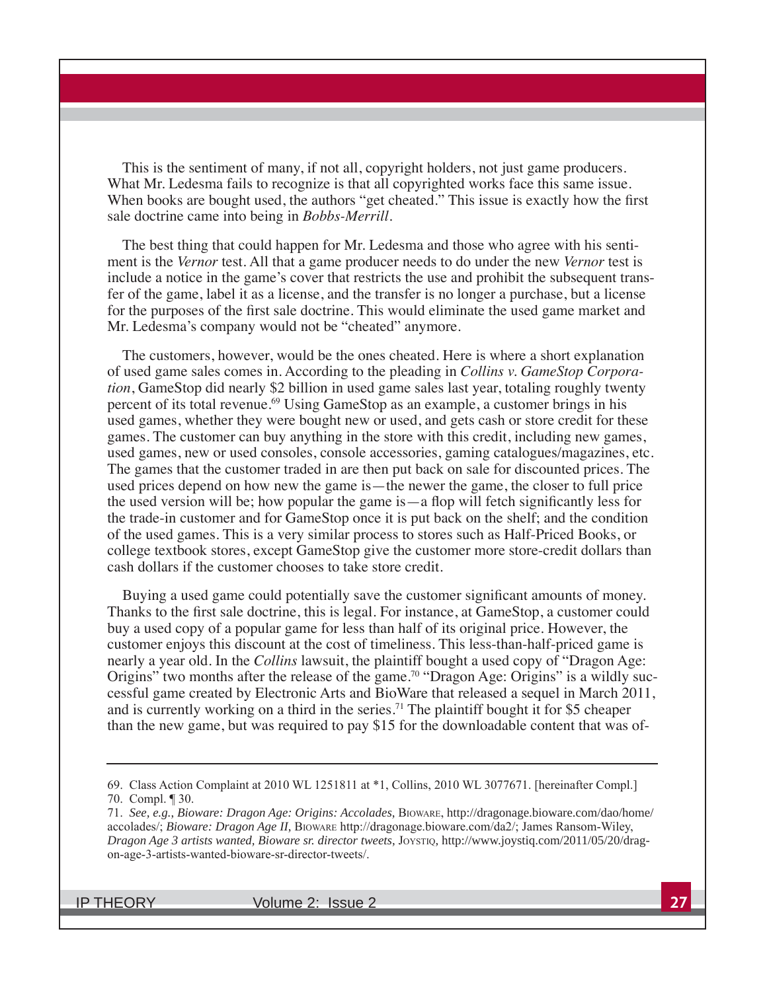This is the sentiment of many, if not all, copyright holders, not just game producers. What Mr. Ledesma fails to recognize is that all copyrighted works face this same issue. When books are bought used, the authors "get cheated." This issue is exactly how the first sale doctrine came into being in *Bobbs-Merrill*.

The best thing that could happen for Mr. Ledesma and those who agree with his sentiment is the Vernor test. All that a game producer needs to do under the new Vernor test is include a notice in the game's cover that restricts the use and prohibit the subsequent transfer of the game, label it as a license, and the transfer is no longer a purchase, but a license for the purposes of the first sale doctrine. This would eliminate the used game market and Mr. Ledesma's company would not be "cheated" anymore.

The customers, however, would be the ones cheated. Here is where a short explanation of used game sales comes in. According to the pleading in Collins v. GameStop Corporation, GameStop did nearly \$2 billion in used game sales last year, totaling roughly twenty percent of its total revenue.<sup>69</sup> Using GameStop as an example, a customer brings in his used games, whether they were bought new or used, and gets cash or store credit for these games. The customer can buy anything in the store with this credit, including new games, used games, new or used consoles, console accessories, gaming catalogues/magazines, etc. The games that the customer traded in are then put back on sale for discounted prices. The used prices depend on how new the game is—the newer the game, the closer to full price the used version will be; how popular the game is  $-a$  flop will fetch significantly less for the trade-in customer and for GameStop once it is put back on the shelf; and the condition of the used games. This is a very similar process to stores such as Half-Priced Books, or college textbook stores, except GameStop give the customer more store-credit dollars than cash dollars if the customer chooses to take store credit.

Buying a used game could potentially save the customer significant amounts of money. Thanks to the first sale doctrine, this is legal. For instance, at GameStop, a customer could buy a used copy of a popular game for less than half of its original price. However, the customer enjoys this discount at the cost of timeliness. This less-than-half-priced game is nearly a year old. In the Collins lawsuit, the plaintiff bought a used copy of "Dragon Age: Origins" two months after the release of the game.<sup>70</sup> "Dragon Age: Origins" is a wildly successful game created by Electronic Arts and BioWare that released a sequel in March 2011, and is currently working on a third in the series.<sup>71</sup> The plaintiff bought it for \$5 cheaper than the new game, but was required to pay \$15 for the downloadable content that was of-

**IP THEORY** 

<sup>69.</sup> Class Action Complaint at 2010 WL 1251811 at \*1, Collins, 2010 WL 3077671. [hereinafter Compl.] 70. Compl. ¶ 30.

<sup>71.</sup> See, e.g., Bioware: Dragon Age: Origins: Accolades, BIOWARE, http://dragonage.bioware.com/dao/home/ accolades/; Bioware: Dragon Age II, BIOWARE http://dragonage.bioware.com/da2/; James Ransom-Wiley, Dragon Age 3 artists wanted, Bioware sr. director tweets, JOYSTIQ, http://www.joystiq.com/2011/05/20/dragon-age-3-artists-wanted-bioware-sr-director-tweets/.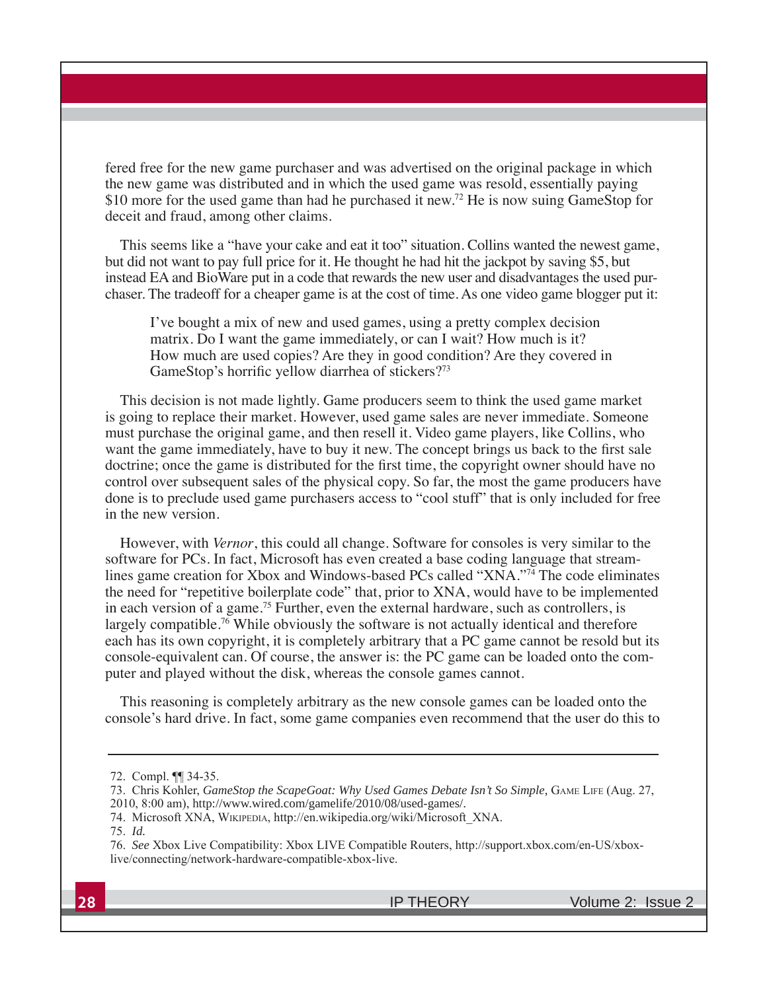fered free for the new game purchaser and was advertised on the original package in which the new game was distributed and in which the used game was resold, essentially paying \$10 more for the used game than had he purchased it new.<sup>72</sup> He is now suing GameStop for deceit and fraud, among other claims.

This seems like a "have your cake and eat it too" situation. Collins wanted the newest game, but did not want to pay full price for it. He thought he had hit the jackpot by saving \$5, but instead EA and BioWare put in a code that rewards the new user and disadvantages the used purchaser. The tradeoff for a cheaper game is at the cost of time. As one video game blogger put it:

I've bought a mix of new and used games, using a pretty complex decision matrix. Do I want the game immediately, or can I wait? How much is it? How much are used copies? Are they in good condition? Are they covered in GameStop's horrific yellow diarrhea of stickers?73

This decision is not made lightly. Game producers seem to think the used game market is going to replace their market. However, used game sales are never immediate. Someone must purchase the original game, and then resell it. Video game players, like Collins, who want the game immediately, have to buy it new. The concept brings us back to the first sale doctrine; once the game is distributed for the first time, the copyright owner should have no control over subsequent sales of the physical copy. So far, the most the game producers have done is to preclude used game purchasers access to "cool stuff" that is only included for free in the new version.

However, with Vernor, this could all change. Software for consoles is very similar to the software for PCs. In fact, Microsoft has even created a base coding language that streamlines game creation for Xbox and Windows-based PCs called "XNA."<sup>74</sup> The code eliminates the need for "repetitive boilerplate code" that, prior to XNA, would have to be implemented in each version of a game.<sup>75</sup> Further, even the external hardware, such as controllers, is largely compatible.<sup>76</sup> While obviously the software is not actually identical and therefore each has its own copyright, it is completely arbitrary that a PC game cannot be resold but its console-equivalent can. Of course, the answer is: the PC game can be loaded onto the computer and played without the disk, whereas the console games cannot.

This reasoning is completely arbitrary as the new console games can be loaded onto the console's hard drive. In fact, some game companies even recommend that the user do this to

<sup>72.</sup> Compl. ¶ 34-35.

<sup>73.</sup> Chris Kohler, GameStop the ScapeGoat: Why Used Games Debate Isn't So Simple, GAME LIFE (Aug. 27, 2010, 8:00 am), http://www.wired.com/gamelife/2010/08/used-games/.

<sup>74.</sup> Microsoft XNA, WIKIPEDIA, http://en.wikipedia.org/wiki/Microsoft\_XNA.

<sup>75.</sup> Id.

<sup>76.</sup> See Xbox Live Compatibility: Xbox LIVE Compatible Routers, http://support.xbox.com/en-US/xboxlive/connecting/network-hardware-compatible-xbox-live.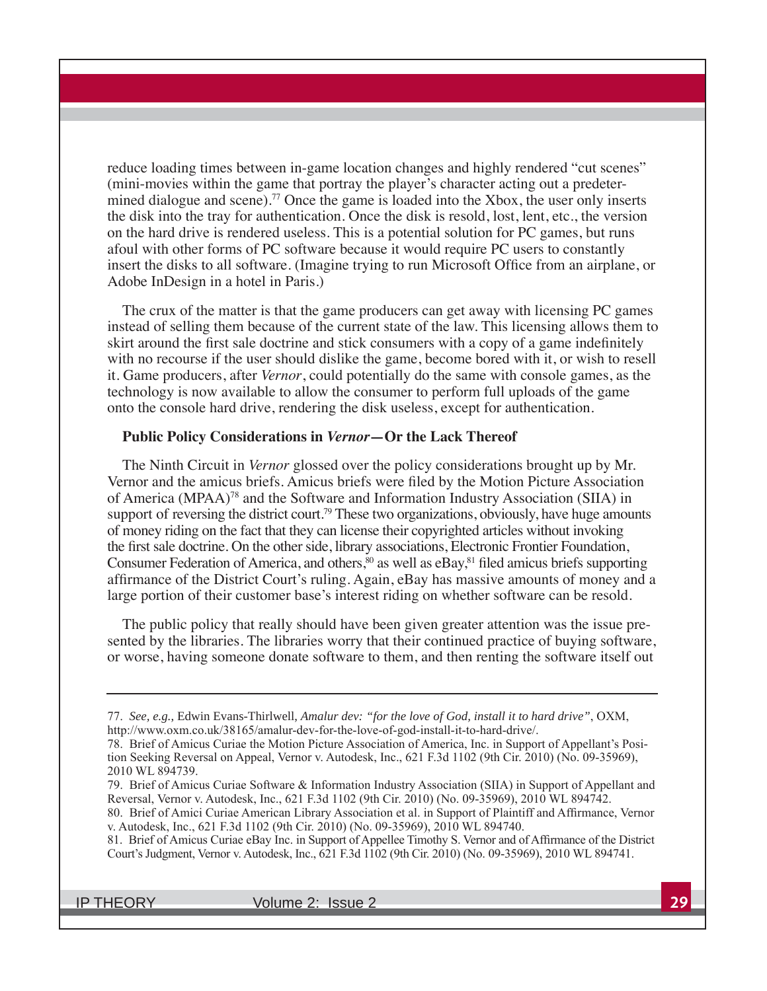reduce loading times between in-game location changes and highly rendered "cut scenes" (mini-movies within the game that portray the player's character acting out a predetermined dialogue and scene).<sup>77</sup> Once the game is loaded into the Xbox, the user only inserts the disk into the tray for authentication. Once the disk is resold, lost, lent, etc., the version on the hard drive is rendered useless. This is a potential solution for PC games, but runs afoul with other forms of PC software because it would require PC users to constantly insert the disks to all software. (Imagine trying to run Microsoft Office from an airplane, or Adobe InDesign in a hotel in Paris.)

The crux of the matter is that the game producers can get away with licensing PC games instead of selling them because of the current state of the law. This licensing allows them to skirt around the first sale doctrine and stick consumers with a copy of a game indefinitely with no recourse if the user should dislike the game, become bored with it, or wish to resell it. Game producers, after *Vernor*, could potentially do the same with console games, as the technology is now available to allow the consumer to perform full uploads of the game onto the console hard drive, rendering the disk useless, except for authentication.

#### Public Policy Considerations in Vernor-Or the Lack Thereof

The Ninth Circuit in *Vernor* glossed over the policy considerations brought up by Mr. Vernor and the amicus briefs. Amicus briefs were filed by the Motion Picture Association of America (MPAA)<sup>78</sup> and the Software and Information Industry Association (SIIA) in support of reversing the district court.<sup>79</sup> These two organizations, obviously, have huge amounts of money riding on the fact that they can license their copyrighted articles without invoking the first sale doctrine. On the other side, library associations, Electronic Frontier Foundation, Consumer Federation of America, and others,<sup>80</sup> as well as eBay,<sup>81</sup> filed amicus briefs supporting affirmance of the District Court's ruling. Again, eBay has massive amounts of money and a large portion of their customer base's interest riding on whether software can be resold.

The public policy that really should have been given greater attention was the issue presented by the libraries. The libraries worry that their continued practice of buying software, or worse, having someone donate software to them, and then renting the software itself out

**IP THEORY** 

<sup>77.</sup> See, e.g., Edwin Evans-Thirlwell, Amalur dev: "for the love of God, install it to hard drive", OXM, http://www.oxm.co.uk/38165/amalur-dev-for-the-love-of-god-install-it-to-hard-drive/.

<sup>78.</sup> Brief of Amicus Curiae the Motion Picture Association of America, Inc. in Support of Appellant's Position Seeking Reversal on Appeal, Vernor v. Autodesk, Inc., 621 F.3d 1102 (9th Cir. 2010) (No. 09-35969), 2010 WL 894739.

<sup>79.</sup> Brief of Amicus Curiae Software & Information Industry Association (SIIA) in Support of Appellant and Reversal, Vernor v. Autodesk, Inc., 621 F.3d 1102 (9th Cir. 2010) (No. 09-35969), 2010 WL 894742.

<sup>80.</sup> Brief of Amici Curiae American Library Association et al. in Support of Plaintiff and Affirmance, Vernor v. Autodesk, Inc., 621 F.3d 1102 (9th Cir. 2010) (No. 09-35969), 2010 WL 894740.

<sup>81.</sup> Brief of Amicus Curiae eBay Inc. in Support of Appellee Timothy S. Vernor and of Affirmance of the District Court's Judgment, Vernor v. Autodesk, Inc., 621 F.3d 1102 (9th Cir. 2010) (No. 09-35969), 2010 WL 894741.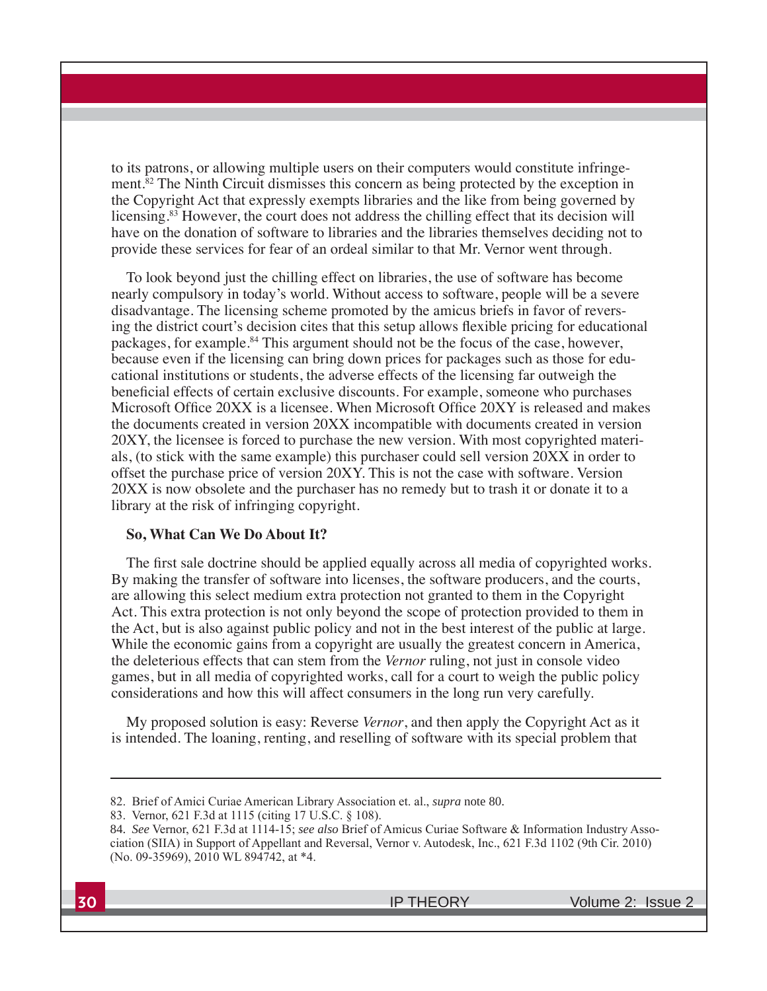to its patrons, or allowing multiple users on their computers would constitute infringement.<sup>82</sup> The Ninth Circuit dismisses this concern as being protected by the exception in the Copyright Act that expressly exempts libraries and the like from being governed by licensing.<sup>83</sup> However, the court does not address the chilling effect that its decision will have on the donation of software to libraries and the libraries themselves deciding not to provide these services for fear of an ordeal similar to that Mr. Vernor went through.

To look beyond just the chilling effect on libraries, the use of software has become nearly compulsory in today's world. Without access to software, people will be a severe disadvantage. The licensing scheme promoted by the amicus briefs in favor of reversing the district court's decision cites that this setup allows flexible pricing for educational packages, for example.<sup>84</sup> This argument should not be the focus of the case, however, because even if the licensing can bring down prices for packages such as those for educational institutions or students, the adverse effects of the licensing far outweigh the beneficial effects of certain exclusive discounts. For example, someone who purchases Microsoft Office 20XX is a licensee. When Microsoft Office 20XY is released and makes the documents created in version 20XX incompatible with documents created in version 20XY, the licensee is forced to purchase the new version. With most copyrighted materials, (to stick with the same example) this purchaser could sell version 20XX in order to offset the purchase price of version 20XY. This is not the case with software. Version 20XX is now obsolete and the purchaser has no remedy but to trash it or donate it to a library at the risk of infringing copyright.

### So, What Can We Do About It?

The first sale doctrine should be applied equally across all media of copyrighted works. By making the transfer of software into licenses, the software producers, and the courts, are allowing this select medium extra protection not granted to them in the Copyright Act. This extra protection is not only beyond the scope of protection provided to them in the Act, but is also against public policy and not in the best interest of the public at large. While the economic gains from a copyright are usually the greatest concern in America, the deleterious effects that can stem from the Vernor ruling, not just in console video games, but in all media of copyrighted works, call for a court to weigh the public policy considerations and how this will affect consumers in the long run very carefully.

My proposed solution is easy: Reverse Vernor, and then apply the Copyright Act as it is intended. The loaning, renting, and reselling of software with its special problem that

<sup>82.</sup> Brief of Amici Curiae American Library Association et. al., *supra* note 80.

<sup>83.</sup> Vernor, 621 F.3d at 1115 (citing 17 U.S.C. § 108).

<sup>84.</sup> See Vernor, 621 F.3d at 1114-15; see also Brief of Amicus Curiae Software & Information Industry Association (SIIA) in Support of Appellant and Reversal, Vernor v. Autodesk, Inc., 621 F.3d 1102 (9th Cir. 2010) (No. 09-35969), 2010 WL 894742, at \*4.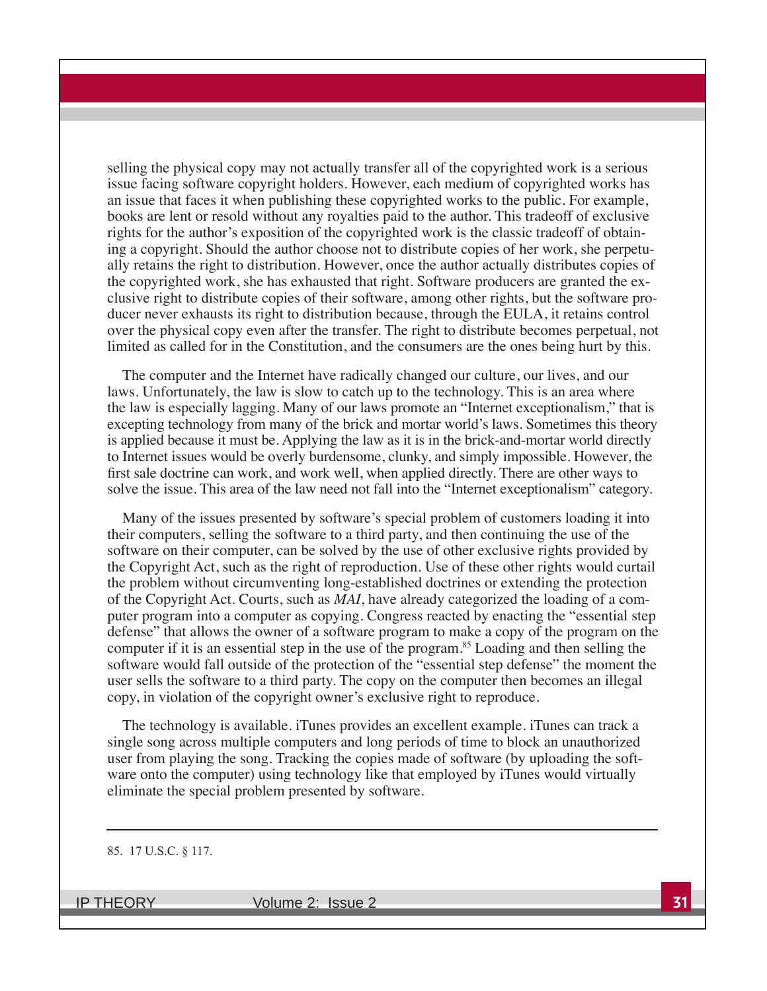selling the physical copy may not actually transfer all of the copyrighted work is a serious issue facing software copyright holders. However, each medium of copyrighted works has an issue that faces it when publishing these copyrighted works to the public. For example, books are lent or resold without any royalties paid to the author. This tradeoff of exclusive rights for the author's exposition of the copyrighted work is the classic tradeoff of obtaining a copyright. Should the author choose not to distribute copies of her work, she perpetually retains the right to distribution. However, once the author actually distributes copies of the copyrighted work, she has exhausted that right. Software producers are granted the exclusive right to distribute copies of their software, among other rights, but the software producer never exhausts its right to distribution because, through the EULA, it retains control over the physical copy even after the transfer. The right to distribute becomes perpetual, not limited as called for in the Constitution, and the consumers are the ones being hurt by this.

The computer and the Internet have radically changed our culture, our lives, and our laws. Unfortunately, the law is slow to catch up to the technology. This is an area where the law is especially lagging. Many of our laws promote an "Internet exceptionalism," that is excepting technology from many of the brick and mortar world's laws. Sometimes this theory is applied because it must be. Applying the law as it is in the brick-and-mortar world directly to Internet issues would be overly burdensome, clunky, and simply impossible. However, the first sale doctrine can work, and work well, when applied directly. There are other ways to solve the issue. This area of the law need not fall into the "Internet exceptionalism" category.

Many of the issues presented by software's special problem of customers loading it into their computers, selling the software to a third party, and then continuing the use of the software on their computer, can be solved by the use of other exclusive rights provided by the Copyright Act, such as the right of reproduction. Use of these other rights would curtail the problem without circumventing long-established doctrines or extending the protection of the Copyright Act. Courts, such as *MAI*, have already categorized the loading of a computer program into a computer as copying. Congress reacted by enacting the "essential step defense" that allows the owner of a software program to make a copy of the program on the computer if it is an essential step in the use of the program.<sup>85</sup> Loading and then selling the software would fall outside of the protection of the "essential step defense" the moment the user sells the software to a third party. The copy on the computer then becomes an illegal copy, in violation of the copyright owner's exclusive right to reproduce.

The technology is available. iTunes provides an excellent example. iTunes can track a single song across multiple computers and long periods of time to block an unauthorized user from playing the song. Tracking the copies made of software (by uploading the software onto the computer) using technology like that employed by iTunes would virtually eliminate the special problem presented by software.

#### 85. 17 U.S.C. § 117.

**IP THEORY**